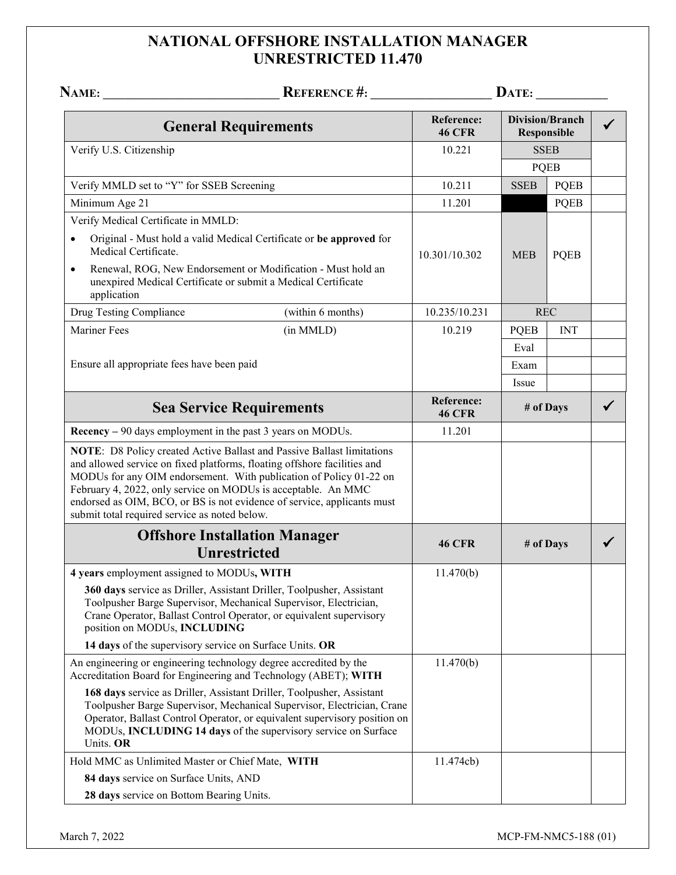## **NATIONAL OFFSHORE INSTALLATION MANAGER UNRESTRICTED 11.470**

|                                                            |                                                                                                                                                                                                                                                                                                                                                                      |                                    | DATE: $\qquad \qquad$                 |             |              |
|------------------------------------------------------------|----------------------------------------------------------------------------------------------------------------------------------------------------------------------------------------------------------------------------------------------------------------------------------------------------------------------------------------------------------------------|------------------------------------|---------------------------------------|-------------|--------------|
|                                                            | <b>General Requirements</b>                                                                                                                                                                                                                                                                                                                                          | <b>Reference:</b><br><b>46 CFR</b> | <b>Division/Branch</b><br>Responsible |             | $\checkmark$ |
| Verify U.S. Citizenship                                    |                                                                                                                                                                                                                                                                                                                                                                      | 10.221                             | <b>SSEB</b><br><b>PQEB</b>            |             |              |
|                                                            |                                                                                                                                                                                                                                                                                                                                                                      |                                    |                                       |             |              |
| Verify MMLD set to "Y" for SSEB Screening                  |                                                                                                                                                                                                                                                                                                                                                                      | 10.211                             | <b>SSEB</b>                           | <b>PQEB</b> |              |
| Minimum Age 21                                             |                                                                                                                                                                                                                                                                                                                                                                      | 11.201                             |                                       | <b>PQEB</b> |              |
| Verify Medical Certificate in MMLD:                        |                                                                                                                                                                                                                                                                                                                                                                      |                                    |                                       |             |              |
| Medical Certificate.                                       | Original - Must hold a valid Medical Certificate or be approved for                                                                                                                                                                                                                                                                                                  | 10.301/10.302                      | <b>MEB</b>                            | <b>PQEB</b> |              |
| $\bullet$<br>application                                   | Renewal, ROG, New Endorsement or Modification - Must hold an<br>unexpired Medical Certificate or submit a Medical Certificate                                                                                                                                                                                                                                        |                                    |                                       |             |              |
| Drug Testing Compliance                                    | (within 6 months)                                                                                                                                                                                                                                                                                                                                                    | 10.235/10.231                      |                                       | <b>REC</b>  |              |
| <b>Mariner Fees</b>                                        | (in MMLD)                                                                                                                                                                                                                                                                                                                                                            | 10.219                             | <b>PQEB</b>                           | <b>INT</b>  |              |
|                                                            |                                                                                                                                                                                                                                                                                                                                                                      |                                    | Eval                                  |             |              |
| Ensure all appropriate fees have been paid                 |                                                                                                                                                                                                                                                                                                                                                                      |                                    | Exam                                  |             |              |
|                                                            |                                                                                                                                                                                                                                                                                                                                                                      |                                    | Issue                                 |             |              |
| <b>Sea Service Requirements</b>                            |                                                                                                                                                                                                                                                                                                                                                                      | <b>Reference:</b><br><b>46 CFR</b> | # of Days                             |             |              |
| Recency – 90 days employment in the past 3 years on MODUs. |                                                                                                                                                                                                                                                                                                                                                                      | 11.201                             |                                       |             |              |
| submit total required service as noted below.              | NOTE: D8 Policy created Active Ballast and Passive Ballast limitations<br>and allowed service on fixed platforms, floating offshore facilities and<br>MODUs for any OIM endorsement. With publication of Policy 01-22 on<br>February 4, 2022, only service on MODUs is acceptable. An MMC<br>endorsed as OIM, BCO, or BS is not evidence of service, applicants must |                                    |                                       |             |              |
| <b>Offshore Installation Manager</b>                       |                                                                                                                                                                                                                                                                                                                                                                      |                                    | # of Days                             |             |              |
|                                                            | <b>Unrestricted</b>                                                                                                                                                                                                                                                                                                                                                  | <b>46 CFR</b>                      |                                       |             |              |
| 4 years employment assigned to MODUs, WITH                 |                                                                                                                                                                                                                                                                                                                                                                      | 11.470(b)                          |                                       |             |              |
| position on MODUs, INCLUDING                               | 360 days service as Driller, Assistant Driller, Toolpusher, Assistant<br>Toolpusher Barge Supervisor, Mechanical Supervisor, Electrician,<br>Crane Operator, Ballast Control Operator, or equivalent supervisory                                                                                                                                                     |                                    |                                       |             |              |
| 14 days of the supervisory service on Surface Units. OR    |                                                                                                                                                                                                                                                                                                                                                                      |                                    |                                       |             |              |
|                                                            | An engineering or engineering technology degree accredited by the<br>Accreditation Board for Engineering and Technology (ABET); WITH                                                                                                                                                                                                                                 | 11.470(b)                          |                                       |             |              |
| Units. OR                                                  | 168 days service as Driller, Assistant Driller, Toolpusher, Assistant<br>Toolpusher Barge Supervisor, Mechanical Supervisor, Electrician, Crane<br>Operator, Ballast Control Operator, or equivalent supervisory position on<br>MODUs, INCLUDING 14 days of the supervisory service on Surface                                                                       |                                    |                                       |             |              |
| Hold MMC as Unlimited Master or Chief Mate, WITH           |                                                                                                                                                                                                                                                                                                                                                                      | 11.474cb)                          |                                       |             |              |
| 84 days service on Surface Units, AND                      |                                                                                                                                                                                                                                                                                                                                                                      |                                    |                                       |             |              |
| 28 days service on Bottom Bearing Units.                   |                                                                                                                                                                                                                                                                                                                                                                      |                                    |                                       |             |              |